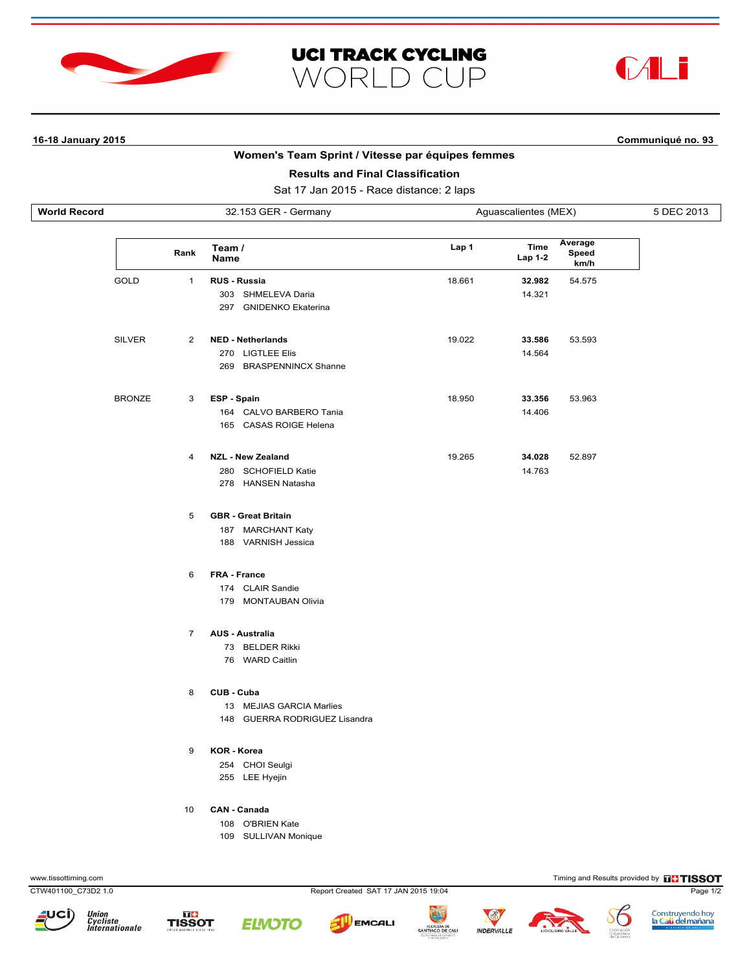





# **16-18 January 2015 Communiqué no. 93**

# **Women's Team Sprint / Vitesse par équipes femmes**

| <b>Results and Final Classification</b><br>Sat 17 Jan 2015 - Race distance: 2 laps |                      |                |                                                                         |                      |                        |                          |            |  |  |  |  |
|------------------------------------------------------------------------------------|----------------------|----------------|-------------------------------------------------------------------------|----------------------|------------------------|--------------------------|------------|--|--|--|--|
| World Record                                                                       | 32.153 GER - Germany |                |                                                                         | Aguascalientes (MEX) |                        |                          | 5 DEC 2013 |  |  |  |  |
|                                                                                    |                      | Rank           | Team /<br><b>Name</b>                                                   | Lap 1                | <b>Time</b><br>Lap 1-2 | Average<br>Speed<br>km/h |            |  |  |  |  |
|                                                                                    | <b>GOLD</b>          | $\mathbf{1}$   | <b>RUS - Russia</b><br>303 SHMELEVA Daria<br>297 GNIDENKO Ekaterina     | 18.661               | 32.982<br>14.321       | 54.575                   |            |  |  |  |  |
|                                                                                    | <b>SILVER</b>        | $\overline{2}$ | <b>NED - Netherlands</b><br>270 LIGTLEE Elis<br>269 BRASPENNINCX Shanne | 19.022               | 33.586<br>14.564       | 53.593                   |            |  |  |  |  |
|                                                                                    | <b>BRONZE</b>        | 3              | ESP - Spain<br>164 CALVO BARBERO Tania<br>165 CASAS ROIGE Helena        | 18.950               | 33.356<br>14.406       | 53.963                   |            |  |  |  |  |
|                                                                                    |                      | 4              | <b>NZL - New Zealand</b><br>280 SCHOFIELD Katie<br>278 HANSEN Natasha   | 19.265               | 34.028<br>14.763       | 52.897                   |            |  |  |  |  |
|                                                                                    |                      | 5              | <b>GBR</b> - Great Britain<br>187 MARCHANT Katy<br>188 VARNISH Jessica  |                      |                        |                          |            |  |  |  |  |
|                                                                                    |                      | 6              | FRA - France<br>174 CLAIR Sandie<br>179 MONTAUBAN Olivia                |                      |                        |                          |            |  |  |  |  |
|                                                                                    |                      | $\overline{7}$ | <b>AUS - Australia</b><br>73 BELDER Rikki<br>76 WARD Caitlin            |                      |                        |                          |            |  |  |  |  |
|                                                                                    |                      | 8              | CUB - Cuba<br>13 MEJIAS GARCIA Marlies<br>148 GUERRA RODRIGUEZ Lisandra |                      |                        |                          |            |  |  |  |  |
|                                                                                    |                      | 9              | <b>KOR - Korea</b><br>254 CHOI Seulgi<br>255 LEE Hyejin                 |                      |                        |                          |            |  |  |  |  |

10 **CAN - Canada**

- 108 O'BRIEN Kate
	- 109 SULLIVAN Monique

www.tissottiming.com Timing and Results provided by **THESOT** 

CTW401100\_C73D2 1.0 Report Created SAT 17 JAN 2015 19:04 Page 1/2



Union<br>Cycliste<br>Internationale



**ELNOTO** 



**MOERVALLE** 



 $\mathcal{O}$